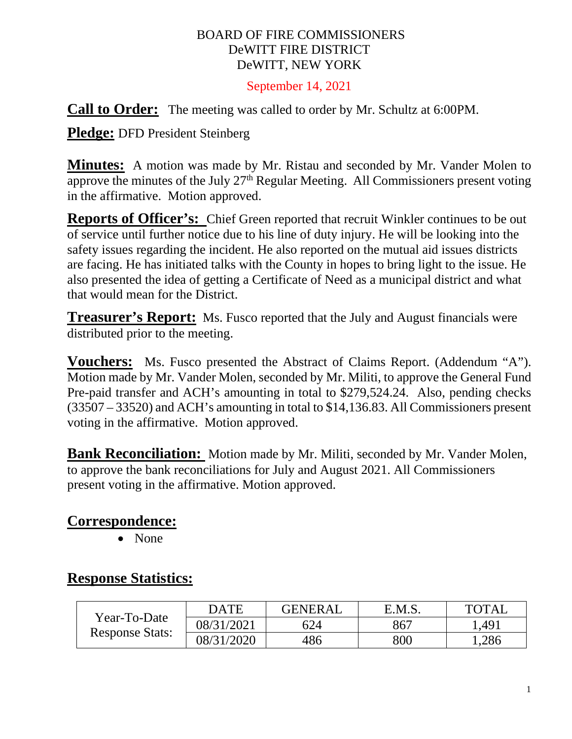#### BOARD OF FIRE COMMISSIONERS DeWITT FIRE DISTRICT DeWITT, NEW YORK

September 14, 2021

**Call to Order:** The meeting was called to order by Mr. Schultz at 6:00PM.

**Pledge:** DFD President Steinberg

**Minutes:** A motion was made by Mr. Ristau and seconded by Mr. Vander Molen to approve the minutes of the July  $27<sup>th</sup>$  Regular Meeting. All Commissioners present voting in the affirmative. Motion approved.

**Reports of Officer's:** Chief Green reported that recruit Winkler continues to be out of service until further notice due to his line of duty injury. He will be looking into the safety issues regarding the incident. He also reported on the mutual aid issues districts are facing. He has initiated talks with the County in hopes to bring light to the issue. He also presented the idea of getting a Certificate of Need as a municipal district and what that would mean for the District.

**Treasurer's Report:** Ms. Fusco reported that the July and August financials were distributed prior to the meeting.

**Vouchers:** Ms. Fusco presented the Abstract of Claims Report. (Addendum "A"). Motion made by Mr. Vander Molen, seconded by Mr. Militi, to approve the General Fund Pre-paid transfer and ACH's amounting in total to \$279,524.24. Also, pending checks (33507 – 33520) and ACH's amounting in total to \$14,136.83. All Commissioners present voting in the affirmative. Motion approved.

**Bank Reconciliation:** Motion made by Mr. Militi, seconded by Mr. Vander Molen, to approve the bank reconciliations for July and August 2021. All Commissioners present voting in the affirmative. Motion approved.

# **Correspondence:**

• None

# **Response Statistics:**

| Year-To-Date<br><b>Response Stats:</b> | DATE       | <b>GENERAL</b> | E.M.S. | <b>TOTAL</b> |
|----------------------------------------|------------|----------------|--------|--------------|
|                                        | 08/31/2021 | 624            | 867    | .491         |
|                                        | 08/31/2020 | 486            | 800    | .286         |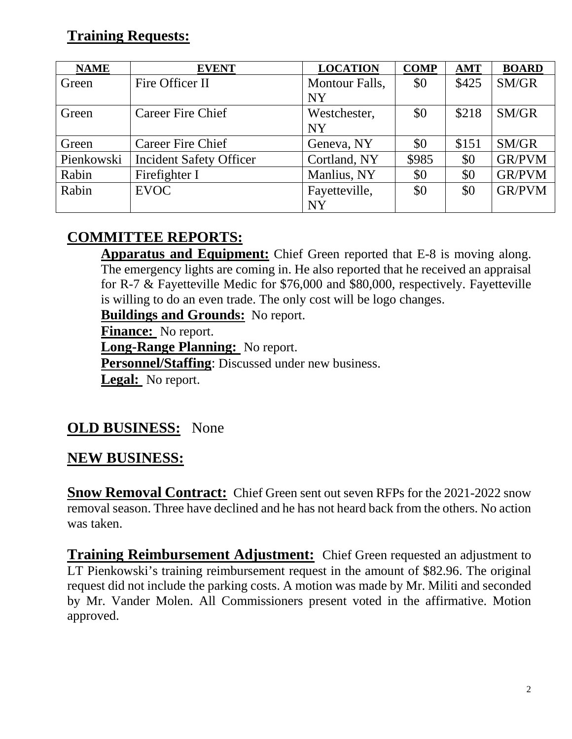# **Training Requests:**

| <b>NAME</b> | <b>EVENT</b>                   | <b>LOCATION</b> | <b>COMP</b> | <b>AMT</b> | <b>BOARD</b>  |
|-------------|--------------------------------|-----------------|-------------|------------|---------------|
| Green       | Fire Officer II                | Montour Falls,  | \$0         | \$425      | SM/GR         |
|             |                                | <b>NY</b>       |             |            |               |
| Green       | Career Fire Chief              | Westchester,    | \$0         | \$218      | SM/GR         |
|             |                                | <b>NY</b>       |             |            |               |
| Green       | <b>Career Fire Chief</b>       | Geneva, NY      | \$0         | \$151      | SM/GR         |
| Pienkowski  | <b>Incident Safety Officer</b> | Cortland, NY    | \$985       | \$0        | <b>GR/PVM</b> |
| Rabin       | Firefighter I                  | Manlius, NY     | \$0         | \$0        | <b>GR/PVM</b> |
| Rabin       | <b>EVOC</b>                    | Fayetteville,   | \$0         | \$0        | <b>GR/PVM</b> |
|             |                                | <b>NY</b>       |             |            |               |

# **COMMITTEE REPORTS:**

**Apparatus and Equipment:** Chief Green reported that E-8 is moving along. The emergency lights are coming in. He also reported that he received an appraisal for R-7 & Fayetteville Medic for \$76,000 and \$80,000, respectively. Fayetteville is willing to do an even trade. The only cost will be logo changes.

**Buildings and Grounds:** No report.

**Finance:** No report.

**Long-Range Planning:** No report.

**Personnel/Staffing**: Discussed under new business.

Legal: No report.

# **OLD BUSINESS:** None

# **NEW BUSINESS:**

**Snow Removal Contract:** Chief Green sent out seven RFPs for the 2021-2022 snow removal season. Three have declined and he has not heard back from the others. No action was taken.

**Training Reimbursement Adjustment:** Chief Green requested an adjustment to LT Pienkowski's training reimbursement request in the amount of \$82.96. The original request did not include the parking costs. A motion was made by Mr. Militi and seconded by Mr. Vander Molen. All Commissioners present voted in the affirmative. Motion approved.